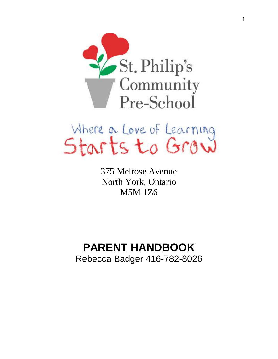



375 Melrose Avenue North York, Ontario M5M 1Z6

# **PARENT HANDBOOK**

Rebecca Badger 416-782-8026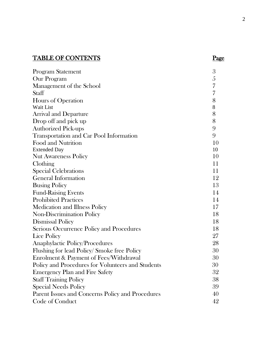# TABLE OF CONTENTS Page

| Program Statement                                 | 3  |
|---------------------------------------------------|----|
| Our Program                                       | 5  |
| Management of the School                          | 7  |
| <b>Staff</b>                                      | 7  |
| Hours of Operation                                | 8  |
| Wait List                                         | 8  |
| <b>Arrival and Departure</b>                      | 8  |
| Drop off and pick up                              | 8  |
| <b>Authorized Pick-ups</b>                        | 9  |
| Transportation and Car Pool Information           | 9  |
| Food and Nutrition                                | 10 |
| <b>Extended Day</b>                               | 10 |
| <b>Nut Awareness Policy</b>                       | 10 |
| Clothing                                          | 11 |
| <b>Special Celebrations</b>                       | 11 |
| <b>General Information</b>                        | 12 |
| <b>Busing Policy</b>                              | 13 |
| <b>Fund-Raising Events</b>                        | 14 |
| <b>Prohibited Practices</b>                       | 14 |
| <b>Medication and Illness Policy</b>              | 17 |
| Non-Discrimination Policy                         | 18 |
| <b>Dismissal Policy</b>                           | 18 |
| Serious Occurrence Policy and Procedures          | 18 |
| Lice Policy                                       | 27 |
| <b>Anaphylactic Policy/Procedures</b>             | 28 |
| Flushing for lead Policy/Smoke free Policy        | 30 |
| Enrolment & Payment of Fees/Withdrawal            | 30 |
| Policy and Procedures for Volunteers and Students | 30 |
| <b>Emergency Plan and Fire Safety</b>             | 32 |
| <b>Staff Training Policy</b>                      | 38 |
| <b>Special Needs Policy</b>                       | 39 |
| Parent Issues and Concerns Policy and Procedures  | 40 |
| Code of Conduct                                   | 42 |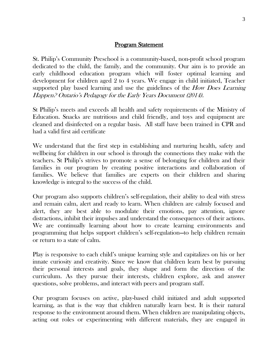#### Program Statement

St. Philip's Community Preschool is a community-based, non-profit school program dedicated to the child, the family, and the community. Our aim is to provide an early childhood education program which will foster optimal learning and development for children aged 2 to 4 years. We engage in child initiated, Teacher supported play based learning and use the guidelines of the *How Does Learning* Happen? Ontario's Pedagogy for the Early Years Document (2014).

St Philip's meets and exceeds all health and safety requirements of the Ministry of Education. Snacks are nutritious and child friendly, and toys and equipment are cleaned and disinfected on a regular basis. All staff have been trained in CPR and had a valid first aid certificate

We understand that the first step in establishing and nurturing health, safety and wellbeing for children in our school is through the connections they make with the teachers. St Philip's strives to promote a sense of belonging for children and their families in our program by creating positive interactions and collaboration of families. We believe that families are experts on their children and sharing knowledge is integral to the success of the child.

Our program also supports children's self-regulation, their ability to deal with stress and remain calm, alert and ready to learn. When children are calmly focused and alert, they are best able to modulate their emotions, pay attention, ignore distractions, inhibit their impulses and understand the consequences of their actions. We are continually learning about how to create learning environments and programming that helps support children's self-regulation—to help children remain or return to a state of calm.

Play is responsive to each child's unique learning style and capitalizes on his or her innate curiosity and creativity. Since we know that children learn best by pursuing their personal interests and goals, they shape and form the direction of the curriculum. As they pursue their interests, children explore, ask and answer questions, solve problems, and interact with peers and program staff.

Our program focuses on active, play-based child initiated and adult supported learning, as that is the way that children naturally learn best. It is their natural response to the environment around them. When children are manipulating objects, acting out roles or experimenting with different materials, they are engaged in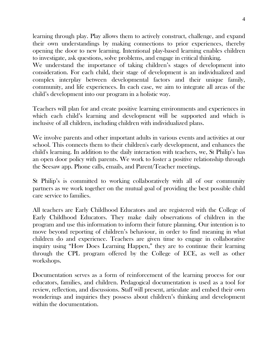learning through play. Play allows them to actively construct, challenge, and expand their own understandings by making connections to prior experiences, thereby opening the door to new learning. Intentional play-based learning enables children to investigate, ask questions, solve problems, and engage in critical thinking.

We understand the importance of taking children's stages of development into consideration. For each child, their stage of development is an individualized and complex interplay between developmental factors and their unique family, community, and life experiences. In each case, we aim to integrate all areas of the child's development into our program in a holistic way.

Teachers will plan for and create positive learning environments and experiences in which each child's learning and development will be supported and which is inclusive of all children, including children with individualized plans.

We involve parents and other important adults in various events and activities at our school. This connects them to their children's early development, and enhances the child's learning. In addition to the daily interaction with teachers, we, St Philip's has an open door policy with parents. We work to foster a positive relationship through the Seesaw app. Phone calls, emails, and Parent/Teacher meetings.

St Philip's is committed to working collaboratively with all of our community partners as we work together on the mutual goal of providing the best possible child care service to families.

All teachers are Early Childhood Educators and are registered with the College of Early Childhood Educators. They make daily observations of children in the program and use this information to inform their future planning. Our intention is to move beyond reporting of children's behaviour, in order to find meaning in what children do and experience. Teachers are given time to engage in collaborative inquiry using "How Does Learning Happen," they are to continue their learning through the CPL program offered by the College of ECE, as well as other workshops.

Documentation serves as a form of reinforcement of the learning process for our educators, families, and children. Pedagogical documentation is used as a tool for review, reflection, and discussions. Staff will present, articulate and embed their own wonderings and inquiries they possess about children's thinking and development within the documentation.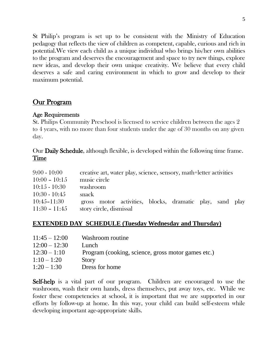St Philip's program is set up to be consistent with the Ministry of Education pedagogy that reflects the view of children as competent, capable, curious and rich in potential.We view each child as a unique individual who brings his/her own abilities to the program and deserves the encouragement and space to try new things, explore new ideas, and develop their own unique creativity. We believe that every child deserves a safe and caring environment in which to grow and develop to their maximum potential.

## Our Program

#### Age Requirements

St. Philips Community Preschool is licensed to service children between the ages 2 to 4 years, with no more than four students under the age of 30 months on any given day.

Our Daily Schedule, although flexible, is developed within the following time frame. Time

| $9:00 - 10:00$  | creative art, water play, science, sensory, math+letter activities |
|-----------------|--------------------------------------------------------------------|
| $10:00 - 10:15$ | music circle                                                       |
| $10:15 - 10:30$ | washroom                                                           |
| $10:30 - 10:45$ | snack                                                              |
| $10:45 - 11:30$ | gross motor activities, blocks, dramatic play, sand play           |
| $11:30 - 11:45$ | story circle, dismissal                                            |

#### **EXTENDED DAY SCHEDULE (Tuesday Wednesday and Thursday)**

| $11:45 - 12:00$ | Washroom routine                                   |
|-----------------|----------------------------------------------------|
| $12:00 - 12:30$ | Lunch                                              |
| $12:30 - 1:10$  | Program (cooking, science, gross motor games etc.) |
| $1:10 - 1:20$   | Story                                              |
| $1:20-1:30$     | Dress for home                                     |

Self-help is a vital part of our program. Children are encouraged to use the washroom, wash their own hands, dress themselves, put away toys, etc. While we foster these competencies at school, it is important that we are supported in our efforts by follow-up at home. In this way, your child can build self-esteem while developing important age-appropriate skills.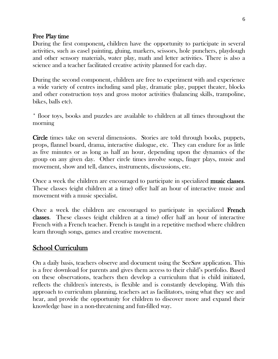#### Free Play time

During the first component, children have the opportunity to participate in several activities, such as easel painting, gluing, markers, scissors, hole punchers, playdough and other sensory materials, water play, math and letter activities. There is also a science and a teacher facilitated creative activity planned for each day.

During the second component, children are free to experiment with and experience a wide variety of centres including sand play, dramatic play, puppet theater, blocks and other construction toys and gross motor activities (balancing skills, trampoline, bikes, balls etc).

\* floor toys, books and puzzles are available to children at all times throughout the morning

Circle times take on several dimensions. Stories are told through books, puppets, props, flannel board, drama, interactive dialogue, etc. They can endure for as little as five minutes or as long as half an hour, depending upon the dynamics of the group on any given day. Other circle times involve songs, finger plays, music and movement, show and tell, dances, instruments, discussions, etc.

Once a week the children are encouraged to participate in specialized music classes. These classes (eight children at a time) offer half an hour of interactive music and movement with a music specialist.

Once a week the children are encouraged to participate in specialized French classes. These classes (eight children at a time) offer half an hour of interactive French with a French teacher. French is taught in a repetitive method where children learn through songs, games and creative movement.

## School Curriculum

On a daily basis, teachers observe and document using the SeeSaw application. This is a free download for parents and gives them access to their child's portfolio. Based on these observations, teachers then develop a curriculum that is child initiated, reflects the children's interests, is flexible and is constantly developing. With this approach to curriculum planning, teachers act as facilitators, using what they see and hear, and provide the opportunity for children to discover more and expand their knowledge base in a non-threatening and fun-filled way.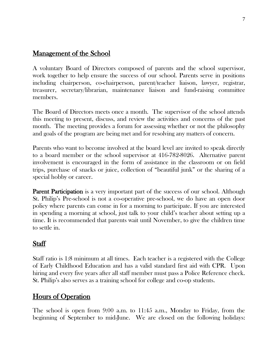## Management of the School

A voluntary Board of Directors composed of parents and the school supervisor, work together to help ensure the success of our school. Parents serve in positions including chairperson, co-chairperson, parent/teacher liaison, lawyer, registrar, treasurer, secretary/librarian, maintenance liaison and fund-raising committee members.

The Board of Directors meets once a month. The supervisor of the school attends this meeting to present, discuss, and review the activities and concerns of the past month. The meeting provides a forum for assessing whether or not the philosophy and goals of the program are being met and for resolving any matters of concern.

Parents who want to become involved at the board level are invited to speak directly to a board member or the school supervisor at 416-782-8026. Alternative parent involvement is encouraged in the form of assistance in the classroom or on field trips, purchase of snacks or juice, collection of "beautiful junk" or the sharing of a special hobby or career.

**Parent Participation** is a very important part of the success of our school. Although St. Philip's Pre-school is not a co-operative pre-school, we do have an open door policy where parents can come in for a morning to participate. If you are interested in spending a morning at school, just talk to your child's teacher about setting up a time. It is recommended that parents wait until November, to give the children time to settle in.

## **Staff**

Staff ratio is 1:8 minimum at all times. Each teacher is a registered with the College of Early Childhood Education and has a valid standard first aid with CPR. Upon hiring and every five years after all staff member must pass a Police Reference check. St. Philip's also serves as a training school for college and co-op students.

## Hours of Operation

The school is open from 9:00 a.m. to 11:45 a.m., Monday to Friday, from the beginning of September to mid-June. We are closed on the following holidays: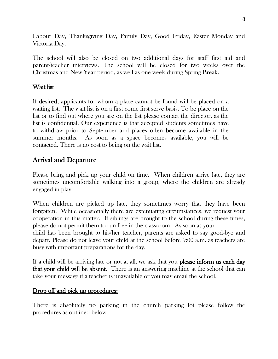Labour Day, Thanksgiving Day, Family Day, Good Friday, Easter Monday and Victoria Day.

The school will also be closed on two additional days for staff first aid and parent/teacher interviews. The school will be closed for two weeks over the Christmas and New Year period, as well as one week during Spring Break.

#### Wait list

If desired, applicants for whom a place cannot be found will be placed on a waiting list. The wait list is on a first come first serve basis. To be place on the list or to find out where you are on the list please contact the director, as the list is confidential. Our experience is that accepted students sometimes have to withdraw prior to September and places often become available in the summer months. As soon as a space becomes available, you will be contacted. There is no cost to being on the wait list.

## Arrival and Departure

Please bring and pick up your child on time. When children arrive late, they are sometimes uncomfortable walking into a group, where the children are already engaged in play.

When children are picked up late, they sometimes worry that they have been forgotten. While occasionally there are extenuating circumstances, we request your cooperation in this matter. If siblings are brought to the school during these times, please do not permit them to run free in the classroom. As soon as your child has been brought to his/her teacher, parents are asked to say good-bye and depart. Please do not leave your child at the school before 9:00 a.m. as teachers are busy with important preparations for the day.

If a child will be arriving late or not at all, we ask that you **please inform us each day** that your child will be absent. There is an answering machine at the school that can take your message if a teacher is unavailable or you may email the school.

#### Drop off and pick up procedures:

There is absolutely no parking in the church parking lot please follow the procedures as outlined below.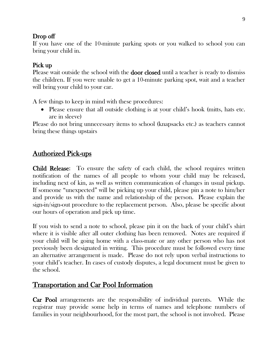#### Drop off

If you have one of the 10-minute parking spots or you walked to school you can bring your child in.

## Pick up

Please wait outside the school with the **door closed** until a teacher is ready to dismiss the children. If you were unable to get a 10-minute parking spot, wait and a teacher will bring your child to your car.

A few things to keep in mind with these procedures:

• Please ensure that all outside clothing is at your child's hook (mitts, hats etc. are in sleeve)

Please do not bring unnecessary items to school (knapsacks etc.) as teachers cannot bring these things upstairs

# Authorized Pick-ups

Child Release: To ensure the safety of each child, the school requires written notification of the names of all people to whom your child may be released, including next of kin, as well as written communication of changes in usual pickup. If someone "unexpected" will be picking up your child, please pin a note to him/her and provide us with the name and relationship of the person. Please explain the sign-in/sign-out procedure to the replacement person. Also, please be specific about our hours of operation and pick up time.

If you wish to send a note to school, please pin it on the back of your child's shirt where it is visible after all outer clothing has been removed. Notes are required if your child will be going home with a class-mate or any other person who has not previously been designated in writing. This procedure must be followed every time an alternative arrangement is made. Please do not rely upon verbal instructions to your child's teacher. In cases of custody disputes, a legal document must be given to the school.

# Transportation and Car Pool Information

Car Pool arrangements are the responsibility of individual parents. While the registrar may provide some help in terms of names and telephone numbers of families in your neighbourhood, for the most part, the school is not involved. Please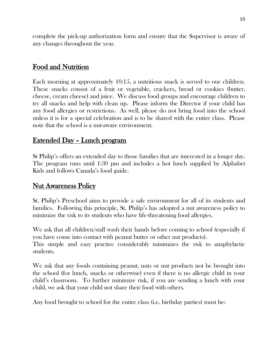complete the pick-up authorization form and ensure that the Supervisor is aware of any changes throughout the year.

## Food and Nutrition

Each morning at approximately 10:15, a nutritious snack is served to our children. These snacks consist of a fruit or vegetable, crackers, bread or cookies (butter, cheese, cream cheese) and juice. We discuss food groups and encourage children to try all snacks and help with clean up. Please inform the Director if your child has any food allergies or restrictions. As well, please do not bring food into the school unless it is for a special celebration and is to be shared with the entire class. Please note that the school is a nut-aware environment.

## Extended Day – Lunch program

St Philip's offers an extended day to those families that are interested in a longer day. The program runs until 1:30 pm and includes a hot lunch supplied by Alphabet Kids and follows Canada's food guide.

## Nut Awareness Policy

St. Philip's Preschool aims to provide a safe environment for all of its students and families. Following this principle, St. Philip's has adopted a nut awareness policy to minimize the risk to its students who have life-threatening food allergies.

We ask that all children/staff wash their hands before coming to school (especially if you have come into contact with peanut butter or other nut products).

This simple and easy practice considerably minimizes the risk to anaphylactic students.

We ask that any foods containing peanut, nuts or nut products not be brought into the school (for lunch, snacks or otherwise) even if there is no allergic child in your child's classroom. To further minimize risk, if you are sending a lunch with your child, we ask that your child not share their food with others.

Any food brought to school for the entire class (i.e. birthday parties) must be: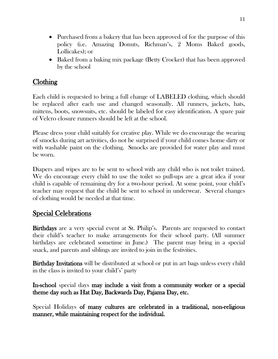- Purchased from a bakery that has been approved of for the purpose of this policy (i.e. Amazing Donuts, Richman's, 2 Moms Baked goods, Lollicakes); or
- Baked from a baking mix package (Betty Crocker) that has been approved by the school

## Clothing

Each child is requested to bring a full change of LABELED clothing, which should be replaced after each use and changed seasonally. All runners, jackets, hats, mittens, boots, snowsuits, etc. should be labeled for easy identification. A spare pair of Velcro closure runners should be left at the school.

Please dress your child suitably for creative play. While we do encourage the wearing of smocks during art activities, do not be surprised if your child comes home dirty or with washable paint on the clothing. Smocks are provided for water play and must be worn.

Diapers and wipes are to be sent to school with any child who is not toilet trained. We do encourage every child to use the toilet so pull-ups are a great idea if your child is capable of remaining dry for a two-hour period. At some point, your child's teacher may request that the child be sent to school in underwear. Several changes of clothing would be needed at that time.

## Special Celebrations

Birthdays are a very special event at St. Philip's. Parents are requested to contact their child's teacher to make arrangements for their school party. (All summer birthdays are celebrated sometime in June.) The parent may bring in a special snack, and parents and siblings are invited to join in the festivities.

**Birthday Invitations** will be distributed at school or put in art bags unless every child in the class is invited to your child's' party

In-school special days may include a visit from a community worker or a special theme day such as Hat Day, Backwards Day, Pajama Day, etc.

Special Holidays of many cultures are celebrated in a traditional, non-religious manner, while maintaining respect for the individual.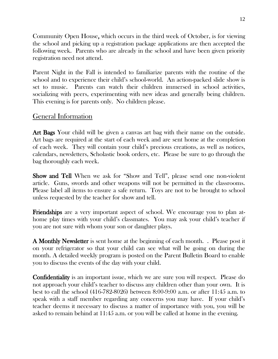Community Open House, which occurs in the third week of October, is for viewing the school and picking up a registration package applications are then accepted the following week. Parents who are already in the school and have been given priority registration need not attend.

Parent Night in the Fall is intended to familiarize parents with the routine of the school and to experience their child's school-world. An action-packed slide show is set to music. Parents can watch their children immersed in school activities, socializing with peers, experimenting with new ideas and generally being children. This evening is for parents only. No children please.

## General Information

Art Bags Your child will be given a canvas art bag with their name on the outside. Art bags are required at the start of each week and are sent home at the completion of each week. They will contain your child's precious creations, as well as notices, calendars, newsletters, Scholastic book orders, etc. Please be sure to go through the bag thoroughly each week.

Show and Tell When we ask for "Show and Tell", please send one non-violent article. Guns, swords and other weapons will not be permitted in the classrooms. Please label all items to ensure a safe return. Toys are not to be brought to school unless requested by the teacher for show and tell.

Friendships are a very important aspect of school. We encourage you to plan athome play times with your child's classmates. You may ask your child's teacher if you are not sure with whom your son or daughter plays.

A Monthly Newsletter is sent home at the beginning of each month. . Please post it on your refrigerator so that your child can see what will be going on during the month. A detailed weekly program is posted on the Parent Bulletin Board to enable you to discuss the events of the day with your child.

Confidentiality is an important issue, which we are sure you will respect. Please do not approach your child's teacher to discuss any children other than your own. It is best to call the school (416-782-8026) between 8:00-9:00 a.m. or after 11:45 a.m. to speak with a staff member regarding any concerns you may have. If your child's teacher deems it necessary to discuss a matter of importance with you, you will be asked to remain behind at 11:45 a.m. or you will be called at home in the evening.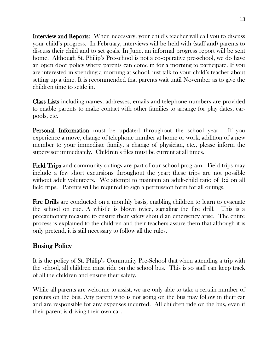Interview and Reports: When necessary, your child's teacher will call you to discuss your child's progress. In February, interviews will be held with (staff and) parents to discuss their child and to set goals. In June, an informal progress report will be sent home. Although St. Philip's Pre-school is not a co-operative pre-school, we do have an open door policy where parents can come in for a morning to participate. If you are interested in spending a morning at school, just talk to your child's teacher about setting up a time. It is recommended that parents wait until November as to give the children time to settle in.

Class Lists including names, addresses, emails and telephone numbers are provided to enable parents to make contact with other families to arrange for play dates, carpools, etc.

**Personal Information** must be updated throughout the school year. If you experience a move, change of telephone number at home or work, addition of a new member to your immediate family, a change of physician, etc., please inform the supervisor immediately. Children's files must be current at all times.

Field Trips and community outings are part of our school program. Field trips may include a few short excursions throughout the year; these trips are not possible without adult volunteers. We attempt to maintain an adult-child ratio of 1:2 on all field trips. Parents will be required to sign a permission form for all outings.

Fire Drills are conducted on a monthly basis, enabling children to learn to evacuate the school on cue. A whistle is blown twice, signaling the fire drill. This is a precautionary measure to ensure their safety should an emergency arise. The entire process is explained to the children and their teachers assure them that although it is only pretend, it is still necessary to follow all the rules.

# Busing Policy

It is the policy of St. Philip's Community Pre-School that when attending a trip with the school, all children must ride on the school bus. This is so staff can keep track of all the children and ensure their safety.

While all parents are welcome to assist, we are only able to take a certain number of parents on the bus. Any parent who is not going on the bus may follow in their car and are responsible for any expenses incurred. All children ride on the bus, even if their parent is driving their own car.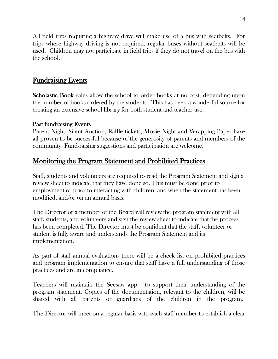All field trips requiring a highway drive will make use of a bus with seatbelts. For trips where highway driving is not required, regular buses without seatbelts will be used. Children may not participate in field trips if they do not travel on the bus with the school.

## Fundraising Events

Scholastic Book sales allow the school to order books at no cost, depending upon the number of books ordered by the students. This has been a wonderful source for creating an extensive school library for both student and teacher use.

#### Past fundraising Events

Parent Night, Silent Auction, Raffle tickets, Movie Night and Wrapping Paper have all proven to be successful because of the generosity of parents and members of the community. Fund-raising suggestions and participation are welcome.

## Monitoring the Program Statement and Prohibited Practices

Staff, students and volunteers are required to read the Program Statement and sign a review sheet to indicate that they have done so. This must be done prior to employment or prior to interacting with children, and when the statement has been modified, and/or on an annual basis.

The Director or a member of the Board will review the program statement with all staff, students, and volunteers and sign the review sheet to indicate that the process has been completed. The Director must be confident that the staff, volunteer or student is fully aware and understands the Program Statement and its implementation.

As part of staff annual evaluations there will be a check list on prohibited practices and program implementation to ensure that staff have a full understanding of those practices and are in compliance.

Teachers will maintain the Seesaw app. to support their understanding of the program statement. Copies of the documentation, relevant to the children, will be shared with all parents or guardians of the children in the program.

The Director will meet on a regular basis with each staff member to establish a clear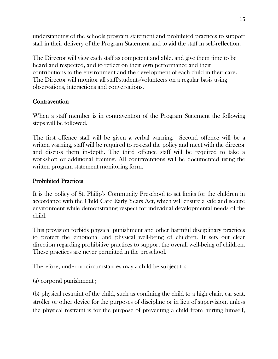understanding of the schools program statement and prohibited practices to support staff in their delivery of the Program Statement and to aid the staff in self-reflection.

The Director will view each staff as competent and able, and give them time to be heard and respected, and to reflect on their own performance and their contributions to the environment and the development of each child in their care. The Director will monitor all staff/students/volunteers on a regular basis using observations, interactions and conversations.

#### **Contravention**

When a staff member is in contravention of the Program Statement the following steps will be followed.

The first offence staff will be given a verbal warning. Second offence will be a written warning, staff will be required to re-read the policy and meet with the director and discuss them in-depth. The third offence staff will be required to take a workshop or additional training. All contraventions will be documented using the written program statement monitoring form.

#### Prohibited Practices

It is the policy of St. Philip's Community Preschool to set limits for the children in accordance with the Child Care Early Years Act, which will ensure a safe and secure environment while demonstrating respect for individual developmental needs of the child.

This provision forbids physical punishment and other harmful disciplinary practices to protect the emotional and physical well-being of children. It sets out clear direction regarding prohibitive practices to support the overall well-being of children. These practices are never permitted in the preschool.

Therefore, under no circumstances may a child be subject to:

(a) corporal punishment ;

(b) physical restraint of the child, such as confining the child to a high chair, car seat, stroller or other device for the purposes of discipline or in lieu of supervision, unless the physical restraint is for the purpose of preventing a child from hurting himself,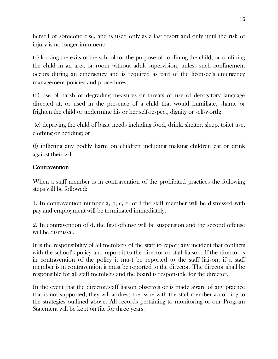herself or someone else, and is used only as a last resort and only until the risk of injury is no longer imminent;

(c) locking the exits of the school for the purpose of confining the child, or confining the child in an area or room without adult supervision, unless such confinement occurs during an emergency and is required as part of the licensee's emergency management policies and procedures;

(d) use of harsh or degrading measures or threats or use of derogatory language directed at, or used in the presence of a child that would humiliate, shame or frighten the child or undermine his or her self-respect, dignity or self-worth;

(e) depriving the child of basic needs including food, drink, shelter, sleep, toilet use, clothing or bedding; or

(f) inflicting any bodily harm on children including making children eat or drink against their will

#### **Contravention**

When a staff member is in contravention of the prohibited practices the following steps will be followed:

1. In contravention number a, b, c, e, or f the staff member will be dismissed with pay and employment will be terminated immediately.

2. In contravention of d, the first offense will be suspension and the second offense will be dismissal.

It is the responsibility of all members of the staff to report any incident that conflicts with the school's policy and report it to the director or staff liaison. If the director is in contravention of the policy it must be reported to the staff liaison, if a staff member is in contravention it must be reported to the director. The director shall be responsible for all staff members and the board is responsible for the director.

In the event that the director/staff liaison observes or is made aware of any practice that is not supported, they will address the issue with the staff member according to the strategies outlined above. All records pertaining to monitoring of our Program Statement will be kept on file for three years.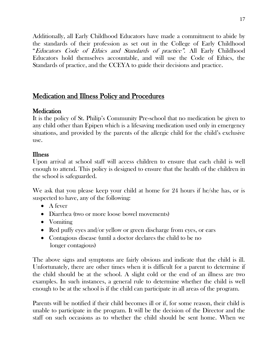Additionally, all Early Childhood Educators have made a commitment to abide by the standards of their profession as set out in the College of Early Childhood "Educators Code of Ethics and Standards of practice". All Early Childhood Educators hold themselves accountable, and will use the Code of Ethics, the Standards of practice, and the CCEYA to guide their decisions and practice.

## Medication and Illness Policy and Procedures

## **Medication**

It is the policy of St. Philip's Community Pre-school that no medication be given to any child other than Epipen which is a lifesaving medication used only in emergency situations, and provided by the parents of the allergic child for the child's exclusive use.

#### Illness

Upon arrival at school staff will access children to ensure that each child is well enough to attend. This policy is designed to ensure that the health of the children in the school is safeguarded.

We ask that you please keep your child at home for 24 hours if he/she has, or is suspected to have, any of the following:

- A fever
- Diarrhea (two or more loose bowel movements)
- Vomiting
- Red puffy eyes and/or yellow or green discharge from eyes, or ears
- Contagious disease (until a doctor declares the child to be no longer contagious)

The above signs and symptoms are fairly obvious and indicate that the child is ill. Unfortunately, there are other times when it is difficult for a parent to determine if the child should be at the school. A slight cold or the end of an illness are two examples. In such instances, a general rule to determine whether the child is well enough to be at the school is if the child can participate in all areas of the program.

Parents will be notified if their child becomes ill or if, for some reason, their child is unable to participate in the program. It will be the decision of the Director and the staff on such occasions as to whether the child should be sent home. When we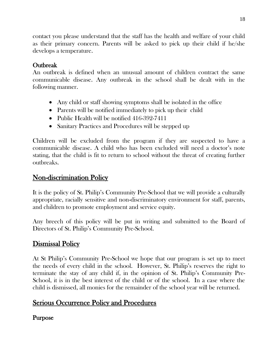contact you please understand that the staff has the health and welfare of your child as their primary concern. Parents will be asked to pick up their child if he/she develops a temperature.

## **Outbreak**

An outbreak is defined when an unusual amount of children contract the same communicable disease. Any outbreak in the school shall be dealt with in the following manner.

- Any child or staff showing symptoms shall be isolated in the office
- Parents will be notified immediately to pick up their child
- Public Health will be notified 416-392-7411
- Sanitary Practices and Procedures will be stepped up

Children will be excluded from the program if they are suspected to have a communicable disease. A child who has been excluded will need a doctor's note stating, that the child is fit to return to school without the threat of creating further outbreaks.

## Non-discrimination Policy

It is the policy of St. Philip's Community Pre-School that we will provide a culturally appropriate, racially sensitive and non-discriminatory environment for staff, parents, and children to promote employment and service equity.

Any breech of this policy will be put in writing and submitted to the Board of Directors of St. Philip's Community Pre-School.

## Dismissal Policy

At St Philip's Community Pre-School we hope that our program is set up to meet the needs of every child in the school. However, St. Philip's reserves the right to terminate the stay of any child if, in the opinion of St. Philip's Community Pre-School, it is in the best interest of the child or of the school. In a case where the child is dismissed, all monies for the remainder of the school year will be returned.

## Serious Occurrence Policy and Procedures

## Purpose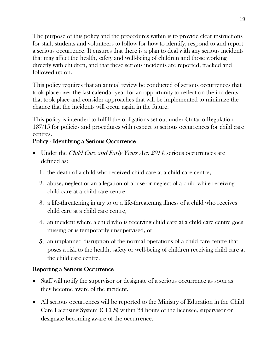The purpose of this policy and the procedures within is to provide clear instructions for staff, students and volunteers to follow for how to identify, respond to and report a serious occurrence. It ensures that there is a plan to deal with any serious incidents that may affect the health, safety and well-being of children and those working directly with children, and that these serious incidents are reported, tracked and followed up on.

This policy requires that an annual review be conducted of serious occurrences that took place over the last calendar year for an opportunity to reflect on the incidents that took place and consider approaches that will be implemented to minimize the chance that the incidents will occur again in the future.

This policy is intended to fulfill the obligations set out under Ontario Regulation 137/15 for policies and procedures with respect to serious occurrences for child care centres.

## Policy - Identifying a Serious Occurrence

- Under the *Child Care and Early Years Act, 2014*, serious occurrences are defined as:
	- 1. the death of a child who received child care at a child care centre,
	- 2. abuse, neglect or an allegation of abuse or neglect of a child while receiving child care at a child care centre,
	- 3. a life-threatening injury to or a life-threatening illness of a child who receives child care at a child care centre,
	- 4. an incident where a child who is receiving child care at a child care centre goes missing or is temporarily unsupervised, or
	- 5. an unplanned disruption of the normal operations of a child care centre that poses a risk to the health, safety or well-being of children receiving child care at the child care centre.

## Reporting a Serious Occurrence

- Staff will notify the supervisor or designate of a serious occurrence as soon as they become aware of the incident.
- All serious occurrences will be reported to the Ministry of Education in the Child Care Licensing System (CCLS) within 24 hours of the licensee, supervisor or designate becoming aware of the occurrence.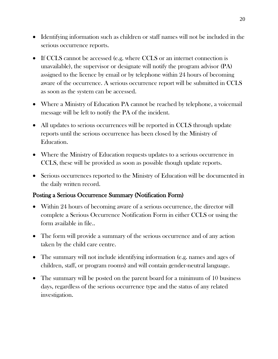- Identifying information such as children or staff names will not be included in the serious occurrence reports.
- If CCLS cannot be accessed (e.g. where CCLS or an internet connection is unavailable), the supervisor or designate will notify the program advisor (PA) assigned to the licence by email or by telephone within 24 hours of becoming aware of the occurrence. A serious occurrence report will be submitted in CCLS as soon as the system can be accessed.
- Where a Ministry of Education PA cannot be reached by telephone, a voicemail message will be left to notify the PA of the incident.
- All updates to serious occurrences will be reported in CCLS through update reports until the serious occurrence has been closed by the Ministry of Education.
- Where the Ministry of Education requests updates to a serious occurrence in CCLS, these will be provided as soon as possible though update reports.
- Serious occurrences reported to the Ministry of Education will be documented in the daily written record.

## Posting a Serious Occurrence Summary (Notification Form)

- Within 24 hours of becoming aware of a serious occurrence, the director will complete a Serious Occurrence Notification Form in either CCLS or using the form available in file..
- The form will provide a summary of the serious occurrence and of any action taken by the child care centre.
- The summary will not include identifying information (e.g. names and ages of children, staff, or program rooms) and will contain gender-neutral language.
- The summary will be posted on the parent board for a minimum of 10 business days, regardless of the serious occurrence type and the status of any related investigation.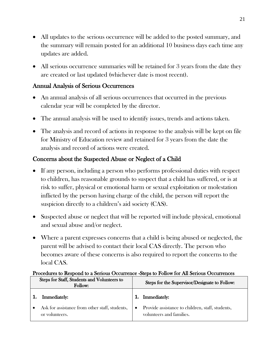- All updates to the serious occurrence will be added to the posted summary, and the summary will remain posted for an additional 10 business days each time any updates are added.
- All serious occurrence summaries will be retained for 3 years from the date they are created or last updated (whichever date is most recent).

## Annual Analysis of Serious Occurrences

- An annual analysis of all serious occurrences that occurred in the previous calendar year will be completed by the director.
- The annual analysis will be used to identify issues, trends and actions taken.
- The analysis and record of actions in response to the analysis will be kept on file for Ministry of Education review and retained for 3 years from the date the analysis and record of actions were created.

## Concerns about the Suspected Abuse or Neglect of a Child

- If any person, including a person who performs professional duties with respect to children, has reasonable grounds to suspect that a child has suffered, or is at risk to suffer, physical or emotional harm or sexual exploitation or molestation inflicted by the person having charge of the child, the person will report the suspicion directly to a children's aid society (CAS).
- Suspected abuse or neglect that will be reported will include physical, emotional and sexual abuse and/or neglect.
- Where a parent expresses concerns that a child is being abused or neglected, the parent will be advised to contact their local CAS directly. The person who becomes aware of these concerns is also required to report the concerns to the local CAS.

#### Procedures to Respond to a Serious Occurrence -Steps to Follow for All Serious Occurrences

| Steps for Staff, Students and Volunteers to<br>Follow: |                                                                  |           | Steps for the Supervisor/Designate to Follow:                                |
|--------------------------------------------------------|------------------------------------------------------------------|-----------|------------------------------------------------------------------------------|
| 1.                                                     | Immediately:                                                     |           | Immediately:                                                                 |
|                                                        | Ask for assistance from other staff, students,<br>or volunteers. | $\bullet$ | Provide assistance to children, staff, students,<br>volunteers and families. |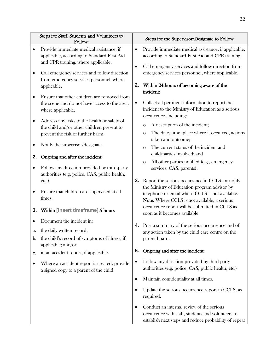|           | Steps for Staff, Students and Volunteers to<br>Follow:                                                                                         |                 | Steps for the Supervisor/Designate to Follow:                                                                                                           |
|-----------|------------------------------------------------------------------------------------------------------------------------------------------------|-----------------|---------------------------------------------------------------------------------------------------------------------------------------------------------|
|           | Provide immediate medical assistance, if<br>applicable, according to Standard First Aid                                                        | $\bullet$       | Provide immediate medical assistance, if applicable,<br>according to Standard First Aid and CPR training.                                               |
|           | and CPR training, where applicable.<br>Call emergency services and follow direction<br>from emergency services personnel, where<br>applicable, | $\bullet$<br>2. | Call emergency services and follow direction from<br>emergency services personnel, where applicable.<br>Within 24 hours of becoming aware of the        |
| $\bullet$ | Ensure that other children are removed from<br>the scene and do not have access to the area,<br>where applicable.                              | $\bullet$       | incident:<br>Collect all pertinent information to report the<br>incident to the Ministry of Education as a serious<br>occurrence, including:            |
| ٠         | Address any risks to the health or safety of<br>the child and/or other children present to<br>prevent the risk of further harm.                |                 | A description of the incident;<br>O<br>The date, time, place where it occurred, actions<br>$\circ$                                                      |
|           | Notify the supervisor/designate.                                                                                                               |                 | taken and outcome;<br>The current status of the incident and<br>$\Omega$                                                                                |
| 2.        | Ongoing and after the incident:                                                                                                                |                 | child/parties involved; and<br>All other parties notified (e.g., emergency<br>$\circ$                                                                   |
| $\bullet$ | Follow any direction provided by third-party<br>authorities (e.g. police, CAS, public health,<br>etc.)                                         | 3.              | services, CAS, parents).<br>Report the serious occurrence in CCLS, or notify                                                                            |
| ٠         | Ensure that children are supervised at all<br>times.                                                                                           |                 | the Ministry of Education program advisor by<br>telephone or email where CCLS is not available.<br>Note: Where CCLS is not available, a serious         |
| 3.        | Within [insert timeframe]:5 hours                                                                                                              |                 | occurrence report will be submitted in CCLS as<br>soon as it becomes available.                                                                         |
| a.<br>b.  | Document the incident in:<br>the daily written record;<br>the child's record of symptoms of illness, if<br>applicable; and/or                  | 4.              | Post a summary of the serious occurrence and of<br>any action taken by the child care centre on the<br>parent board.                                    |
| c.        | in an accident report, if applicable.                                                                                                          | 5.              | Ongoing and after the incident:                                                                                                                         |
| ٠         | Where an accident report is created, provide<br>a signed copy to a parent of the child.                                                        | $\bullet$       | Follow any direction provided by third-party<br>authorities (e.g. police, CAS, public health, etc.)                                                     |
|           |                                                                                                                                                | $\bullet$       | Maintain confidentiality at all times.                                                                                                                  |
|           |                                                                                                                                                | $\bullet$       | Update the serious occurrence report in CCLS, as<br>required.                                                                                           |
|           |                                                                                                                                                | $\bullet$       | Conduct an internal review of the serious<br>occurrence with staff, students and volunteers to<br>establish next steps and reduce probability of repeat |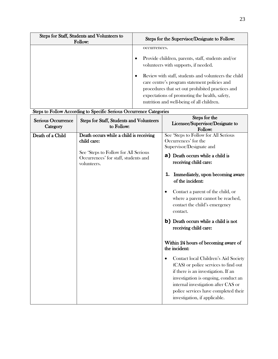| Steps for Staff, Students and Volunteers to<br>Follow: | Steps for the Supervisor/Designate to Follow:                                                                                                                                                                                                                                                                                                                       |
|--------------------------------------------------------|---------------------------------------------------------------------------------------------------------------------------------------------------------------------------------------------------------------------------------------------------------------------------------------------------------------------------------------------------------------------|
|                                                        | occurrences.<br>Provide children, parents, staff, students and/or<br>volunteers with supports, if needed.<br>Review with staff, students and volunteers the child<br>care centre's program statement policies and<br>procedures that set out prohibited practices and<br>expectations of promoting the health, safety,<br>nutrition and well-being of all children. |

# Steps to Follow According to Specific Serious Occurrence Categories

| Serious Occurrence<br>Category | Steps for Staff, Students and Volunteers<br>to Follow:                                                                                                | Steps for the<br>Licensee/Supervisor/Designate to<br>Follow:                                                                                                                                                                                                                                                                                                                                                                                                                                                                                                                                                                                                                                                                                                 |
|--------------------------------|-------------------------------------------------------------------------------------------------------------------------------------------------------|--------------------------------------------------------------------------------------------------------------------------------------------------------------------------------------------------------------------------------------------------------------------------------------------------------------------------------------------------------------------------------------------------------------------------------------------------------------------------------------------------------------------------------------------------------------------------------------------------------------------------------------------------------------------------------------------------------------------------------------------------------------|
| Death of a Child               | Death occurs while a child is receiving<br>child care:<br>See 'Steps to Follow for All Serious<br>Occurrences' for staff, students and<br>volunteers. | See 'Steps to Follow for All Serious<br>Occurrences' for the<br>Supervisor/Designate and<br><b>a</b> ) Death occurs while a child is<br>receiving child care:<br>Immediately, upon becoming aware<br>1.<br>of the incident:<br>Contact a parent of the child, or<br>$\bullet$<br>where a parent cannot be reached,<br>contact the child's emergency<br>contact.<br><b>b</b> ) Death occurs while a child is not<br>receiving child care:<br>Within 24 hours of becoming aware of<br>the incident:<br>Contact local Children's Aid Society<br>$\bullet$<br>(CAS) or police services to find out<br>if there is an investigation. If an<br>investigation is ongoing, conduct an<br>internal investigation after CAS or<br>police services have completed their |
|                                |                                                                                                                                                       | investigation, if applicable.                                                                                                                                                                                                                                                                                                                                                                                                                                                                                                                                                                                                                                                                                                                                |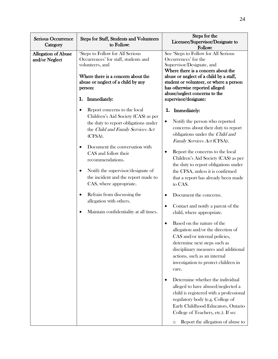| <b>Serious Occurrence</b><br>Category        | Steps for Staff, Students and Volunteers<br>to Follow:                                                                                                                                                                                                                                                                                                                                                                                                                                       | Steps for the<br>Licensee/Supervisor/Designate to<br>Follow:                                                                                                                                                                                                                                                                                                                                                                                                                                                                                                                                                                                                                                                                                                                                                                                                                                                                                                                                                                               |
|----------------------------------------------|----------------------------------------------------------------------------------------------------------------------------------------------------------------------------------------------------------------------------------------------------------------------------------------------------------------------------------------------------------------------------------------------------------------------------------------------------------------------------------------------|--------------------------------------------------------------------------------------------------------------------------------------------------------------------------------------------------------------------------------------------------------------------------------------------------------------------------------------------------------------------------------------------------------------------------------------------------------------------------------------------------------------------------------------------------------------------------------------------------------------------------------------------------------------------------------------------------------------------------------------------------------------------------------------------------------------------------------------------------------------------------------------------------------------------------------------------------------------------------------------------------------------------------------------------|
| <b>Allegation of Abuse</b><br>and/or Neglect | 'Steps to Follow for All Serious<br>Occurrences' for staff, students and<br>volunteers, and<br>Where there is a concern about the<br>abuse or neglect of a child by any<br>person:<br>1. Immediately:                                                                                                                                                                                                                                                                                        | See 'Steps to Follow for All Serious<br>Occurrences' for the<br>Supervisor/Designate, and<br>Where there is a concern about the<br>abuse or neglect of a child by a staff,<br>student or volunteer, or where a person<br>has otherwise reported alleged<br>abuse/neglect concerns to the<br>supervisor/designate:                                                                                                                                                                                                                                                                                                                                                                                                                                                                                                                                                                                                                                                                                                                          |
|                                              | Report concerns to the local<br>Children's Aid Society (CAS) as per<br>the duty to report obligations under<br>the Child and Family Services Act<br>(CFSA).<br>Document the conversation with<br>$\bullet$<br>CAS and follow their<br>recommendations.<br>Notify the supervisor/designate of<br>$\bullet$<br>the incident and the report made to<br>CAS, where appropriate.<br>Refrain from discussing the<br>$\bullet$<br>allegation with others.<br>Maintain confidentiality at all times. | <b>Immediately:</b><br>1.<br>Notify the person who reported<br>concerns about their duty to report<br>obligations under the Child and<br>Family Services Act (CFSA).<br>Report the concerns to the local<br>Children's Aid Society (CAS) as per<br>the duty to report obligations under<br>the CFSA, unless it is confirmed<br>that a report has already been made<br>to CAS.<br>Document the concerns.<br>Contact and notify a parent of the<br>$\bullet$<br>child, where appropriate.<br>Based on the nature of the<br>allegation and/or the direction of<br>CAS and/or internal policies,<br>determine next steps such as<br>disciplinary measures and additional<br>actions, such as an internal<br>investigation to protect children in<br>care.<br>Determine whether the individual<br>alleged to have abused/neglected a<br>child is registered with a professional<br>regulatory body (e.g. College of<br>Early Childhood Educators, Ontario<br>College of Teachers, etc.). If so:<br>Report the allegation of abuse to<br>$\circ$ |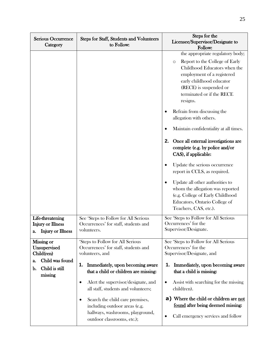| <b>Serious Occurrence</b><br>Category                                                                       | Steps for Staff, Students and Volunteers<br>to Follow:                                                                                                                                                                                                                                                                                                                                                  | Steps for the<br>Licensee/Supervisor/Designate to<br>Follow:                                                                                                                                                                                                                                                                                                                                                                                                                                                                                                                                                                                                                                               |
|-------------------------------------------------------------------------------------------------------------|---------------------------------------------------------------------------------------------------------------------------------------------------------------------------------------------------------------------------------------------------------------------------------------------------------------------------------------------------------------------------------------------------------|------------------------------------------------------------------------------------------------------------------------------------------------------------------------------------------------------------------------------------------------------------------------------------------------------------------------------------------------------------------------------------------------------------------------------------------------------------------------------------------------------------------------------------------------------------------------------------------------------------------------------------------------------------------------------------------------------------|
|                                                                                                             |                                                                                                                                                                                                                                                                                                                                                                                                         | the appropriate regulatory body;<br>Report to the College of Early<br>$\circ$<br>Childhood Educators when the<br>employment of a registered<br>early childhood educator<br>(RECE) is suspended or<br>terminated or if the RECE<br>resigns.<br>Refrain from discussing the<br>allegation with others.<br>Maintain confidentiality at all times.<br>Once all external investigations are<br>2.<br>complete (e.g. by police and/or<br>CAS), if applicable:<br>Update the serious occurrence<br>$\bullet$<br>report in CCLS, as required.<br>Update all other authorities to<br>whom the allegation was reported<br>(e.g. College of Early Childhood<br>Educators, Ontario College of<br>Teachers, CAS, etc.). |
| Life-threatening<br><b>Injury or Illness</b><br><b>Injury or Illness</b><br>a.                              | See 'Steps to Follow for All Serious<br>Occurrences' for staff, students and<br>volunteers.                                                                                                                                                                                                                                                                                                             | See 'Steps to Follow for All Serious<br>Occurrences' for the<br>Supervisor/Designate.                                                                                                                                                                                                                                                                                                                                                                                                                                                                                                                                                                                                                      |
| <b>Missing or</b><br>Unsupervised<br>Child(ren)<br>Child was found<br>a.<br>Child is still<br>b.<br>missing | 'Steps to Follow for All Serious<br>Occurrences' for staff, students and<br>volunteers, and<br>Immediately, upon becoming aware<br>1.<br>that a child or children are missing:<br>Alert the supervisor/designate, and<br>all staff, students and volunteers;<br>Search the child care premises,<br>٠<br>including outdoor areas (e.g.<br>hallways, washrooms, playground,<br>outdoor classrooms, etc.); | See 'Steps to Follow for All Serious<br>Occurrences' for the<br>Supervisor/Designate, and<br>Immediately, upon becoming aware<br>1.<br>that a child is missing:<br>Assist with searching for the missing<br>$\bullet$<br>child(ren).<br><b>a)</b> Where the child or children are not<br>found after being deemed missing:<br>Call emergency services and follow<br>$\bullet$                                                                                                                                                                                                                                                                                                                              |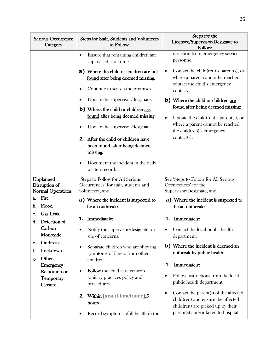| <b>Serious Occurrence</b><br>Category                                                                                                                           | <b>Steps for Staff, Students and Volunteers</b><br>to Follow:                                                                                                                                                                                                                                    | Steps for the<br>Licensee/Supervisor/Designate to<br>Follow:                                                                                                                                                                                   |
|-----------------------------------------------------------------------------------------------------------------------------------------------------------------|--------------------------------------------------------------------------------------------------------------------------------------------------------------------------------------------------------------------------------------------------------------------------------------------------|------------------------------------------------------------------------------------------------------------------------------------------------------------------------------------------------------------------------------------------------|
|                                                                                                                                                                 | Ensure that remaining children are<br>$\bullet$<br>supervised at all times.<br>a) Where the child or children are not<br>found after being deemed missing.<br>Continue to search the premises.                                                                                                   | direction from emergency services<br>personnel.<br>Contact the child (ren)'s parent (s), or<br>٠<br>where a parent cannot be reached,<br>contact the child's emergency                                                                         |
|                                                                                                                                                                 | Update the supervisor/designate.<br>b) Where the child or children are<br>found after being deemed missing.<br>Update the supervisor/designate.<br>After the child or children have<br>2.<br>been found, after being deemed<br>missing:<br>Document the incident in the daily<br>written record. | contact.<br>b) Where the child or children are<br>found after being deemed missing:<br>Update the child(ren)'s parent(s), or<br>$\bullet$<br>where a parent cannot be reached<br>the child(ren)'s emergency<br>contact(s).                     |
| Unplanned<br>Disruption of<br><b>Normal Operations</b>                                                                                                          | 'Steps to Follow for All Serious<br>Occurrences' for staff, students and<br>volunteers, and                                                                                                                                                                                                      | See 'Steps to Follow for All Serious<br>Occurrences' for the<br>Supervisor/Designate, and                                                                                                                                                      |
| Fire<br>a.<br>Flood<br>b.<br>Gas Leak<br>c.                                                                                                                     | <b>a</b> ) Where the incident is suspected to<br>be an outbreak:                                                                                                                                                                                                                                 | <b>a</b> ) Where the incident is suspected to<br>be an outbreak:                                                                                                                                                                               |
| Detection of<br>d.<br>Carbon<br>Monoxide<br>Outbreak<br>e.<br>Lockdown<br>f.<br>Other<br>g.<br><b>Emergency</b><br>Relocation or<br><b>Temporary</b><br>Closure | Immediately:<br>1.<br>Notify the supervisor/designate on<br>٠<br>site of concerns.<br>Separate children who are showing<br>$\bullet$<br>symptoms of illness from other<br>children.<br>Follow the child care centre's<br>٠<br>sanitary practices policy and<br>procedures.                       | Immediately:<br>1.<br>Contact the local public health<br>٠<br>department.<br><b>b</b> ) Where the incident is deemed an<br>outbreak by public health:<br>Immediately:<br>1.<br>Follow instructions from the local<br>public health department. |
|                                                                                                                                                                 | Within [insert timeframe]:5<br>2.<br>hours<br>Record symptoms of ill health in the<br>$\bullet$                                                                                                                                                                                                  | Contact the parent(s) of the affected<br>$\bullet$<br>child(ren) and ensure the affected<br>child(ren) are picked up by their<br>parent(s) and/or taken to hospital.                                                                           |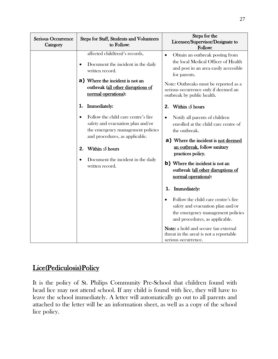| <b>Serious Occurrence</b><br>Category | Steps for Staff, Students and Volunteers<br>to Follow:                                                                                                                                                                                         | Steps for the<br>Licensee/Supervisor/Designate to<br>Follow:                                                                                                                                                                                                                                            |
|---------------------------------------|------------------------------------------------------------------------------------------------------------------------------------------------------------------------------------------------------------------------------------------------|---------------------------------------------------------------------------------------------------------------------------------------------------------------------------------------------------------------------------------------------------------------------------------------------------------|
|                                       | affected child(ren)'s records,<br>Document the incident in the daily<br>$\bullet$<br>written record.<br>a) Where the incident is not an<br>outbreak (all other disruptions of<br>normal operations):                                           | Obtain an outbreak posting from<br>$\bullet$<br>the local Medical Officer of Health<br>and post in an area easily accessible<br>for parents.<br>Note: Outbreaks must be reported as a<br>serious occurrence only if deemed an<br>outbreak by public health.                                             |
|                                       | Immediately:<br>1.                                                                                                                                                                                                                             | Within: 5 hours<br>2.                                                                                                                                                                                                                                                                                   |
|                                       | Follow the child care centre's fire<br>safety and evacuation plan and/or<br>the emergency management policies<br>and procedures, as applicable.<br>Within: 5 hours<br>2.<br>Document the incident in the daily<br>$\bullet$<br>written record. | Notify all parents of children<br>$\bullet$<br>enrolled at the child care centre of<br>the outbreak.<br><b>a)</b> Where the incident is not deemed<br>an outbreak, follow sanitary<br>practices policy.<br>b) Where the incident is not an<br>outbreak (all other disruptions of<br>normal operations): |
|                                       |                                                                                                                                                                                                                                                | <b>Immediately:</b><br>1.                                                                                                                                                                                                                                                                               |
|                                       |                                                                                                                                                                                                                                                | Follow the child care centre's fire<br>safety and evacuation plan and/or<br>the emergency management policies<br>and procedures, as applicable.                                                                                                                                                         |
|                                       |                                                                                                                                                                                                                                                | <b>Note:</b> a hold and secure (an external<br>threat in the area) is not a reportable<br>serious occurrence.                                                                                                                                                                                           |

# Lice(Pediculosis)Policy

It is the policy of St. Philips Community Pre-School that children found with head lice may not attend school. If any child is found with lice, they will have to leave the school immediately. A letter will automatically go out to all parents and attached to the letter will be an information sheet, as well as a copy of the school lice policy.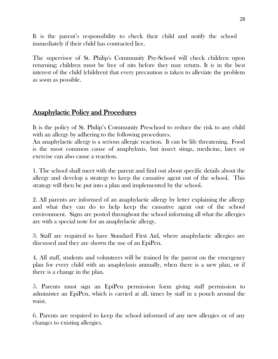It is the parent's responsibility to check their child and notify the school immediately if their child has contracted lice.

The supervisor of St. Philip's Community Pre-School will check children upon returning; children must be free of nits before they may return. It is in the best interest of the child (children) that every precaution is taken to alleviate the problem as soon as possible.

## Anaphylactic Policy and Procedures

It is the policy of St. Philip's Community Preschool to reduce the risk to any child with an allergy by adhering to the following procedures.

An anaphylactic allergy is a serious allergic reaction. It can be life threatening. Food is the most common cause of anaphylaxis, but insect stings, medicine, latex or exercise can also cause a reaction.

1. The school shall meet with the parent and find out about specific details about the allergy and develop a strategy to keep the causative agent out of the school. This strategy will then be put into a plan and implemented by the school.

2. All parents are informed of an anaphylactic allergy by letter explaining the allergy and what they can do to help keep the causative agent out of the school environment. Signs are posted throughout the school informing all what the allergies are with a special note for an anaphylactic allergy.

3. Staff are required to have Standard First Aid, where anaphylactic allergies are discussed and they are shown the use of an EpiPen.

4. All staff, students and volunteers will be trained by the parent on the emergency plan for every child with an anaphylaxis annually, when there is a new plan, or if there is a change in the plan.

5. Parents must sign an EpiPen permission form giving staff permission to administer an EpiPen, which is carried at all, times by staff in a pouch around the waist.

6. Parents are required to keep the school informed of any new allergies or of any changes to existing allergies.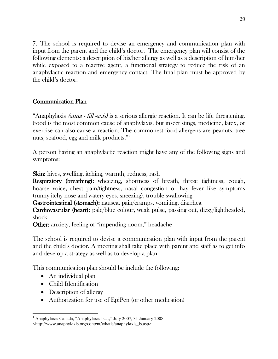7. The school is required to devise an emergency and communication plan with input from the parent and the child's doctor. The emergency plan will consist of the following elements: a description of his/her allergy as well as a description of him/her while exposed to a reactive agent, a functional strategy to reduce the risk of an anaphylactic reaction and emergency contact. The final plan must be approved by the child's doctor.

#### Communication Plan

"Anaphylaxis *(anna - fill -axis)* is a serious allergic reaction. It can be life threatening. Food is the most common cause of anaphylaxis, but insect stings, medicine, latex, or exercise can also cause a reaction. The commonest food allergens are peanuts, tree nuts, seafood, egg and milk products."

A person having an anaphylactic reaction might have any of the following signs and symptoms:

Skin: hives, swelling, itching, warmth, redness, rash

Respiratory (breathing): wheezing, shortness of breath, throat tightness, cough, hoarse voice, chest pain/tightness, nasal congestion or hay fever like symptoms (runny itchy nose and watery eyes, sneezing), trouble swallowing

Gastrointestinal (stomach): nausea, pain/cramps, vomiting, diarrhea

Cardiovascular (heart): pale/blue colour, weak pulse, passing out, dizzy/lightheaded, shock

**Other:** anxiety, feeling of "impending doom," headache

The school is required to devise a communication plan with input from the parent and the child's doctor. A meeting shall take place with parent and staff as to get info and develop a strategy as well as to develop a plan.

This communication plan should be include the following:

- An individual plan
- Child Identification

 $\overline{a}$ 

- Description of allergy
- Authorization for use of EpiPen (or other medication)

<sup>1</sup> Anaphylaxis Canada, "Anaphylaxis Is…," July 2007, 31 January 2008 <http://www.anaphylaxis.org/content/whatis/anaphylaxis\_is.asp>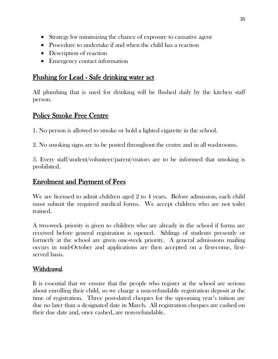- Strategy for minimizing the chance of exposure to causative agent
- Procedure to undertake if and when the child has a reaction
- Description of reaction
- Emergency contact information

## Flushing for Lead - Safe drinking water act

All plumbing that is used for drinking will be flushed daily by the kitchen staff person.

## Policy Smoke Free Centre

1. No person is allowed to smoke or hold a lighted cigarette in the school.

2. No smoking signs are to be posted throughout the centre and in all washrooms.

3. Every staff/student/volunteer/parent/visitors are to be informed that smoking is prohibited.

## Enrolment and Payment of Fees

We are licensed to admit children aged 2 to 4 years. Before admission, each child must submit the required medical forms. We accept children who are not toilet trained.

A two-week priority is given to children who are already in the school if forms are received before general registration is opened. Siblings of students presently or formerly at the school are given one-week priority. A general admissions mailing occurs in mid-October and applications are then accepted on a first-come, firstserved basis.

## Withdrawal

It is essential that we ensure that the people who register at the school are serious about enrolling their child, so we charge a non-refundable registration deposit at the time of registration. Three post-dated cheques for the upcoming year's tuition are due no later than a designated date in March. All registration cheques are cashed on their due date and, once cashed, are non-refundable.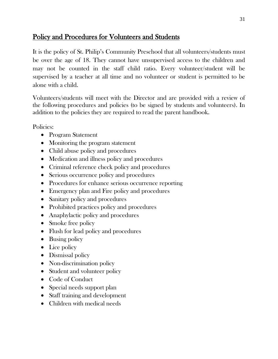## Policy and Procedures for Volunteers and Students

It is the policy of St. Philip's Community Preschool that all volunteers/students must be over the age of 18. They cannot have unsupervised access to the children and may not be counted in the staff child ratio. Every volunteer/student will be supervised by a teacher at all time and no volunteer or student is permitted to be alone with a child.

Volunteers/students will meet with the Director and are provided with a review of the following procedures and policies (to be signed by students and volunteers). In addition to the policies they are required to read the parent handbook.

Policies:

- Program Statement
- Monitoring the program statement
- Child abuse policy and procedures
- Medication and illness policy and procedures
- Criminal reference check policy and procedures
- Serious occurrence policy and procedures
- Procedures for enhance serious occurrence reporting
- Emergency plan and Fire policy and procedures
- Sanitary policy and procedures
- Prohibited practices policy and procedures
- Anaphylactic policy and procedures
- Smoke free policy
- Flush for lead policy and procedures
- Busing policy
- Lice policy
- Dismissal policy
- Non-discrimination policy
- Student and volunteer policy
- Code of Conduct
- Special needs support plan
- Staff training and development
- Children with medical needs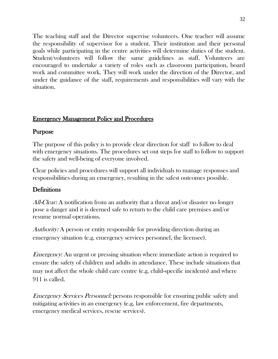The teaching staff and the Director supervise volunteers. One teacher will assume the responsibility of supervisor for a student. Their institution and their personal goals while participating in the centre activities will determine duties of the student. Student/volunteers will follow the same guidelines as staff. Volunteers are encouraged to undertake a variety of roles such as classroom participation, board work and committee work. They will work under the direction of the Director, and under the guidance of the staff, requirements and responsibilities will vary with the situation.

#### Emergency Management Policy and Procedures

## Purpose

The purpose of this policy is to provide clear direction for staff to follow to deal with emergency situations. The procedures set out steps for staff to follow to support the safety and well-being of everyone involved.

Clear policies and procedures will support all individuals to manage responses and responsibilities during an emergency, resulting in the safest outcomes possible.

## **Definitions**

All-Clear: A notification from an authority that a threat and/or disaster no longer pose a danger and it is deemed safe to return to the child care premises and/or resume normal operations.

Authority: A person or entity responsible for providing direction during an emergency situation (e.g. emergency services personnel, the licensee).

Emergency: An urgent or pressing situation where immediate action is required to ensure the safety of children and adults in attendance. These include situations that may not affect the whole child care centre (e.g. child-specific incidents) and where 911 is called.

Emergency Services Personnel: persons responsible for ensuring public safety and mitigating activities in an emergency (e.g. law enforcement, fire departments, emergency medical services, rescue services).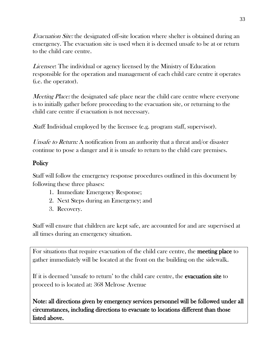Evacuation Site: the designated off-site location where shelter is obtained during an emergency. The evacuation site is used when it is deemed unsafe to be at or return to the child care centre.

Licensee: The individual or agency licensed by the Ministry of Education responsible for the operation and management of each child care centre it operates (i.e. the operator).

*Meeting Place:* the designated safe place near the child care centre where everyone is to initially gather before proceeding to the evacuation site, or returning to the child care centre if evacuation is not necessary.

Staff: Individual employed by the licensee (e.g. program staff, supervisor).

Unsafe to Return: A notification from an authority that a threat and/or disaster continue to pose a danger and it is unsafe to return to the child care premises.

## **Policy**

Staff will follow the emergency response procedures outlined in this document by following these three phases:

- 1. Immediate Emergency Response;
- 2. Next Steps during an Emergency; and
- 3. Recovery.

Staff will ensure that children are kept safe, are accounted for and are supervised at all times during an emergency situation.

For situations that require evacuation of the child care centre, the meeting place to gather immediately will be located at the front on the building on the sidewalk.

If it is deemed 'unsafe to return' to the child care centre, the **evacuation site** to proceed to is located at: 368 Melrose Avenue

Note: all directions given by emergency services personnel will be followed under all circumstances, including directions to evacuate to locations different than those listed above.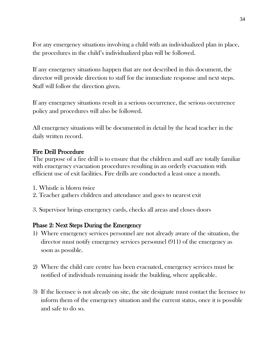For any emergency situations involving a child with an individualized plan in place, the procedures in the child's individualized plan will be followed.

If any emergency situations happen that are not described in this document, the director will provide direction to staff for the immediate response and next steps. Staff will follow the direction given.

If any emergency situations result in a serious occurrence, the serious occurrence policy and procedures will also be followed.

All emergency situations will be documented in detail by the head teacher in the daily written record.

#### Fire Drill Procedure

The purpose of a fire drill is to ensure that the children and staff are totally familiar with emergency evacuation procedures resulting in an orderly evacuation with efficient use of exit facilities. Fire drills are conducted a least once a month.

- 1. Whistle is blown twice
- 2. Teacher gathers children and attendance and goes to nearest exit

3. Supervisor brings emergency cards, checks all areas and closes doors

#### Phase 2: Next Steps During the Emergency

- 1) Where emergency services personnel are not already aware of the situation, the director must notify emergency services personnel (911) of the emergency as soon as possible.
- 2) Where the child care centre has been evacuated, emergency services must be notified of individuals remaining inside the building, where applicable.
- 3) If the licensee is not already on site, the site designate must contact the licensee to inform them of the emergency situation and the current status, once it is possible and safe to do so.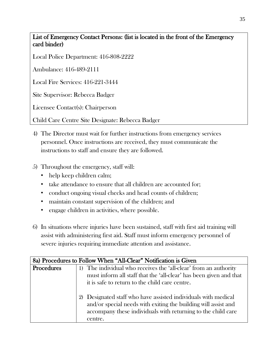List of Emergency Contact Persons: (list is located in the front of the Emergency card binder)

Local Police Department: 416-808-2222

Ambulance: 416-489-2111

Local Fire Services: 416-221-3444

Site Supervisor: Rebecca Badger

Licensee Contact(s): Chairperson

Child Care Centre Site Designate: Rebecca Badger

- 4) The Director must wait for further instructions from emergency services personnel. Once instructions are received, they must communicate the instructions to staff and ensure they are followed.
- 5) Throughout the emergency, staff will:
	- help keep children calm;
	- take attendance to ensure that all children are accounted for;
	- conduct ongoing visual checks and head counts of children;
	- maintain constant supervision of the children; and
	- engage children in activities, where possible.
- 6) In situations where injuries have been sustained, staff with first aid training will assist with administering first aid. Staff must inform emergency personnel of severe injuries requiring immediate attention and assistance.

|            | 8a) Procedures to Follow When "All-Clear" Notification is Given    |
|------------|--------------------------------------------------------------------|
| Procedures | 1) The individual who receives the 'all-clear' from an authority   |
|            | must inform all staff that the 'all-clear' has been given and that |
|            | it is safe to return to the child care centre.                     |
|            |                                                                    |
|            | 2) Designated staff who have assisted individuals with medical     |
|            | and/or special needs with exiting the building will assist and     |
|            | accompany these individuals with returning to the child care       |
|            | centre.                                                            |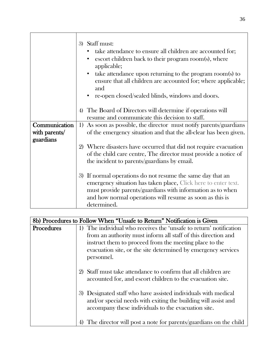|                                             | 3) Staff must:<br>take attendance to ensure all children are accounted for;<br>escort children back to their program room(s), where<br>applicable;<br>take attendance upon returning to the program room(s) to<br>$\bullet$<br>ensure that all children are accounted for; where applicable;<br>and<br>re-open closed/sealed blinds, windows and doors. |
|---------------------------------------------|---------------------------------------------------------------------------------------------------------------------------------------------------------------------------------------------------------------------------------------------------------------------------------------------------------------------------------------------------------|
|                                             | 4) The Board of Directors will determine if operations will<br>resume and communicate this decision to staff.                                                                                                                                                                                                                                           |
| Communication<br>with parents/<br>guardians | 1) As soon as possible, the director must notify parents/guardians<br>of the emergency situation and that the all-clear has been given.                                                                                                                                                                                                                 |
|                                             | 2) Where disasters have occurred that did not require evacuation<br>of the child care centre, The director must provide a notice of<br>the incident to parents/guardians by email.                                                                                                                                                                      |
|                                             | 3) If normal operations do not resume the same day that an<br>emergency situation has taken place, Click here to enter text.<br>must provide parents/guardians with information as to when<br>and how normal operations will resume as soon as this is<br>determined.                                                                                   |

| 8b) Procedures to Follow When "Unsafe to Return" Notification is Given |                                                                        |
|------------------------------------------------------------------------|------------------------------------------------------------------------|
| Procedures                                                             | 1) The individual who receives the 'unsafe to return' notification     |
|                                                                        | from an authority must inform all staff of this direction and          |
|                                                                        | instruct them to proceed from the meeting place to the                 |
|                                                                        | evacuation site, or the site determined by emergency services          |
|                                                                        | personnel.                                                             |
|                                                                        |                                                                        |
|                                                                        | 2) Staff must take attendance to confirm that all children are         |
|                                                                        | accounted for, and escort children to the evacuation site.             |
|                                                                        |                                                                        |
|                                                                        | 3) Designated staff who have assisted individuals with medical         |
|                                                                        | and/or special needs with exiting the building will assist and         |
|                                                                        | accompany these individuals to the evacuation site.                    |
|                                                                        |                                                                        |
|                                                                        | The director will post a note for parents/guardians on the child<br>4) |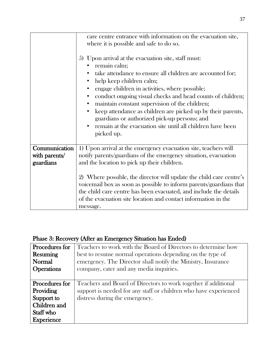|                                             | care centre entrance with information on the evacuation site,                                                                                                                                                                                                                                                                                                                                                                                                                                                                                       |
|---------------------------------------------|-----------------------------------------------------------------------------------------------------------------------------------------------------------------------------------------------------------------------------------------------------------------------------------------------------------------------------------------------------------------------------------------------------------------------------------------------------------------------------------------------------------------------------------------------------|
|                                             |                                                                                                                                                                                                                                                                                                                                                                                                                                                                                                                                                     |
|                                             | where it is possible and safe to do so.                                                                                                                                                                                                                                                                                                                                                                                                                                                                                                             |
|                                             | 5) Upon arrival at the evacuation site, staff must:<br>remain calm;<br>take attendance to ensure all children are accounted for;<br>help keep children calm;<br>engage children in activities, where possible;<br>conduct ongoing visual checks and head counts of children;<br>$\bullet$<br>maintain constant supervision of the children;<br>$\bullet$<br>keep attendance as children are picked up by their parents,<br>guardians or authorized pick-up persons; and<br>remain at the evacuation site until all children have been<br>picked up. |
|                                             |                                                                                                                                                                                                                                                                                                                                                                                                                                                                                                                                                     |
| Communication<br>with parents/<br>guardians | 1) Upon arrival at the emergency evacuation site, teachers will<br>notify parents/guardians of the emergency situation, evacuation<br>and the location to pick up their children.                                                                                                                                                                                                                                                                                                                                                                   |
|                                             | 2) Where possible, the director will update the child care centre's<br>voicemail box as soon as possible to inform parents/guardians that<br>the child care centre has been evacuated, and include the details<br>of the evacuation site location and contact information in the<br>message.                                                                                                                                                                                                                                                        |

# Phase 3: Recovery (After an Emergency Situation has Ended)

| Procedures for                                                                                     | Teachers to work with the Board of Directors to determine how                                                                                                        |
|----------------------------------------------------------------------------------------------------|----------------------------------------------------------------------------------------------------------------------------------------------------------------------|
| Resuming                                                                                           | best to resume normal operations depending on the type of                                                                                                            |
| Normal                                                                                             | emergency. The Director shall notify the Ministry, Insurance                                                                                                         |
| <b>Operations</b>                                                                                  | company, cater and any media inquiries.                                                                                                                              |
| Procedures for<br><b>Providing</b><br>Support to<br>Children and<br>Staff who<br><b>Experience</b> | Teachers and Board of Directors to work together if additional<br>support is needed for any staff or children who have experienced<br>distress during the emergency. |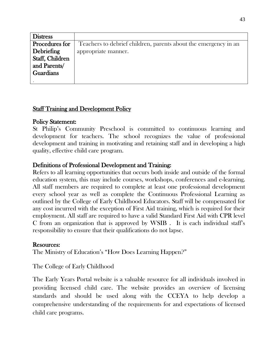| <b>Distress</b> |                                                                 |
|-----------------|-----------------------------------------------------------------|
| Procedures for  | Teachers to debrief children, parents about the emergency in an |
| Debriefing      | appropriate manner.                                             |
| Staff, Children |                                                                 |
| and Parents/    |                                                                 |
| Guardians       |                                                                 |
|                 |                                                                 |

#### Staff Training and Development Policy

#### Policy Statement:

St Philip's Community Preschool is committed to continuous learning and development for teachers. The school recognizes the value of professional development and training in motivating and retaining staff and in developing a high quality, effective child care program.

#### Definitions of Professional Development and Training:

Refers to all learning opportunities that occurs both inside and outside of the formal education system, this may include courses, workshops, conferences and e-learning. All staff members are required to complete at least one professional development every school year as well as complete the Continuous Professional Learning as outlined by the College of Early Childhood Educators. Staff will be compensated for any cost incurred with the exception of First Aid training, which is required for their employment. All staff are required to have a valid Standard First Aid with CPR level C from an organization that is approved by WSIB . It is each individual staff's responsibility to ensure that their qualifications do not lapse.

#### Resources:

The Ministry of Education's "How Does Learning Happen?"

The College of Early Childhood

The Early Years Portal website is a valuable resource for all individuals involved in providing licensed child care. The website provides an overview of licensing standards and should be used along with the CCEYA to help develop a comprehensive understanding of the requirements for and expectations of licensed child care programs.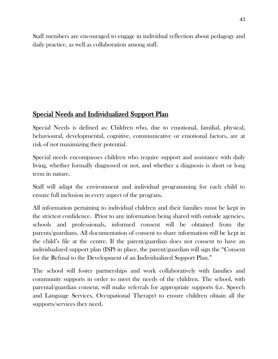Staff members are encouraged to engage in individual reflection about pedagogy and daily practice, as well as collaboration among staff.

# Special Needs and Individualized Support Plan

Special Needs is defined as: Children who, due to emotional, familial, physical, behavioural, developmental, cognitive, communicative or emotional factors, are at risk of not maximizing their potential.

Special needs encompasses children who require support and assistance with daily living, whether formally diagnosed or not, and whether a diagnosis is short or long term in nature.

Staff will adapt the environment and individual programming for each child to ensure full inclusion in every aspect of the program.

All information pertaining to individual children and their families must be kept in the strictest confidence. Prior to any information being shared with outside agencies, schools and professionals, informed consent will be obtained from the parents/guardians. All documentation of consent to share information will be kept in the child's file at the centre. If the parent/guardian does not consent to have an individualized support plan (ISP) in place, the parent/guardian will sign the "Consent" for the Refusal to the Development of an Individualized Support Plan."

The school will foster partnerships and work collaboratively with families and community supports in order to meet the needs of the children. The school, with parental/guardian consent, will make referrals for appropriate supports (i.e. Speech and Language Services, Occupational Therapy) to ensure children obtain all the supports/services they need.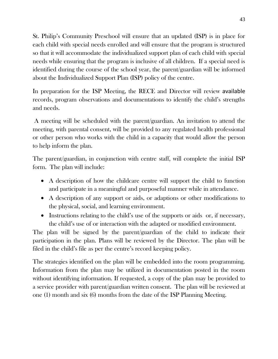St. Philip's Community Preschool will ensure that an updated (ISP) is in place for each child with special needs enrolled and will ensure that the program is structured so that it will accommodate the individualized support plan of each child with special needs while ensuring that the program is inclusive of all children. If a special need is identified during the course of the school year, the parent/guardian will be informed about the Individualized Support Plan (ISP) policy of the centre.

In preparation for the ISP Meeting, the RECE and Director will review available records, program observations and documentations to identify the child's strengths and needs.

A meeting will be scheduled with the parent/guardian. An invitation to attend the meeting, with parental consent, will be provided to any regulated health professional or other person who works with the child in a capacity that would allow the person to help inform the plan.

The parent/guardian, in conjunction with centre staff, will complete the initial ISP form. The plan will include:

- A description of how the childcare centre will support the child to function and participate in a meaningful and purposeful manner while in attendance.
- A description of any support or aids, or adaptions or other modifications to the physical, social, and learning environment.
- Instructions relating to the child's use of the supports or aids or, if necessary, the child's use of or interaction with the adapted or modified environment.

The plan will be signed by the parent/guardian of the child to indicate their participation in the plan. Plans will be reviewed by the Director. The plan will be filed in the child's file as per the centre's record keeping policy.

The strategies identified on the plan will be embedded into the room programming. Information from the plan may be utilized in documentation posted in the room without identifying information. If requested, a copy of the plan may be provided to a service provider with parent/guardian written consent. The plan will be reviewed at one (1) month and six (6) months from the date of the ISP Planning Meeting.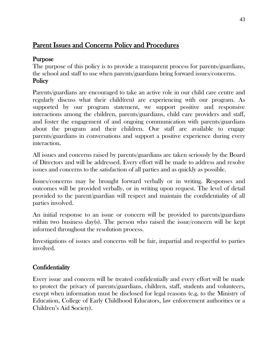## Parent Issues and Concerns Policy and Procedures

## Purpose

The purpose of this policy is to provide a transparent process for parents/guardians, the school and staff to use when parents/guardians bring forward issues/concerns. **Policy** 

Parents/guardians are encouraged to take an active role in our child care centre and regularly discuss what their child(ren) are experiencing with our program. As supported by our program statement, we support positive and responsive interactions among the children, parents/guardians, child care providers and staff, and foster the engagement of and ongoing communication with parents/guardians about the program and their children. Our staff are available to engage parents/guardians in conversations and support a positive experience during every interaction.

All issues and concerns raised by parents/guardians are taken seriously by the Board of Directors and will be addressed. Every effort will be made to address and resolve issues and concerns to the satisfaction of all parties and as quickly as possible.

Issues/concerns may be brought forward verbally or in writing. Responses and outcomes will be provided verbally, or in writing upon request. The level of detail provided to the parent/guardian will respect and maintain the confidentiality of all parties involved.

An initial response to an issue or concern will be provided to parents/guardians within two business day(s). The person who raised the issue/concern will be kept informed throughout the resolution process.

Investigations of issues and concerns will be fair, impartial and respectful to parties involved.

## **Confidentiality**

Every issue and concern will be treated confidentially and every effort will be made to protect the privacy of parents/guardians, children, staff, students and volunteers, except when information must be disclosed for legal reasons (e.g. to the Ministry of Education, College of Early Childhood Educators, law enforcement authorities or a Children's Aid Society).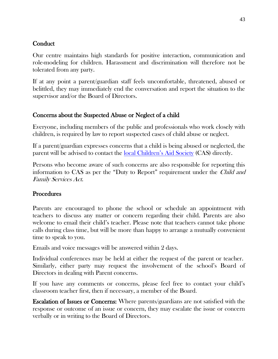#### Conduct

Our centre maintains high standards for positive interaction, communication and role-modeling for children. Harassment and discrimination will therefore not be tolerated from any party.

If at any point a parent/guardian staff feels uncomfortable, threatened, abused or belittled, they may immediately end the conversation and report the situation to the supervisor and/or the Board of Directors.

#### Concerns about the Suspected Abuse or Neglect of a child

Everyone, including members of the public and professionals who work closely with children, is required by law to report suspected cases of child abuse or neglect.

If a parent/guardian expresses concerns that a child is being abused or neglected, the parent will be advised to contact the [local Children's Aid Society](http://www.children.gov.on.ca/htdocs/English/childrensaid/reportingabuse/CASLocations.aspx) (CAS) directly.

Persons who become aware of such concerns are also responsible for reporting this information to CAS as per the "Duty to Report" requirement under the *Child and* Family Services Act.

## **Procedures**

Parents are encouraged to phone the school or schedule an appointment with teachers to discuss any matter or concern regarding their child. Parents are also welcome to email their child's teacher. Please note that teachers cannot take phone calls during class time, but will be more than happy to arrange a mutually convenient time to speak to you.

Emails and voice messages will be answered within 2 days.

Individual conferences may be held at either the request of the parent or teacher. Similarly, either party may request the involvement of the school's Board of Directors in dealing with Parent concerns.

If you have any comments or concerns, please feel free to contact your child's classroom teacher first, then if necessary, a member of the Board.

Escalation of Issues or Concerns: Where parents/guardians are not satisfied with the response or outcome of an issue or concern, they may escalate the issue or concern verbally or in writing to the Board of Directors.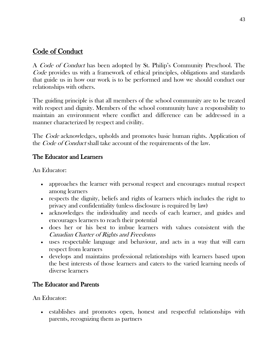## Code of Conduct

A Code of Conduct has been adopted by St. Philip's Community Preschool. The Code provides us with a framework of ethical principles, obligations and standards that guide us in how our work is to be performed and how we should conduct our relationships with others.

The guiding principle is that all members of the school community are to be treated with respect and dignity. Members of the school community have a responsibility to maintain an environment where conflict and difference can be addressed in a manner characterized by respect and civility.

The *Code* acknowledges, upholds and promotes basic human rights. Application of the *Code of Conduct* shall take account of the requirements of the law.

## The Educator and Learners

An Educator:

- approaches the learner with personal respect and encourages mutual respect among learners
- respects the dignity, beliefs and rights of learners which includes the right to privacy and confidentiality (unless disclosure is required by law)
- acknowledges the individuality and needs of each learner, and guides and encourages learners to reach their potential
- does her or his best to imbue learners with values consistent with the Canadian Charter of Rights and Freedoms
- uses respectable language and behaviour, and acts in a way that will earn respect from learners
- develops and maintains professional relationships with learners based upon the best interests of those learners and caters to the varied learning needs of diverse learners

## The Educator and Parents

An Educator:

 establishes and promotes open, honest and respectful relationships with parents, recognizing them as partners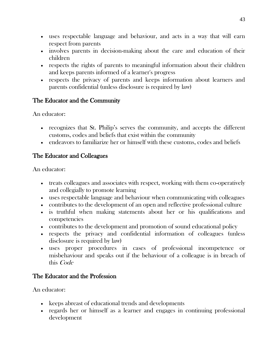- uses respectable language and behaviour, and acts in a way that will earn respect from parents
- involves parents in decision-making about the care and education of their children
- respects the rights of parents to meaningful information about their children and keeps parents informed of a learner's progress
- respects the privacy of parents and keeps information about learners and parents confidential (unless disclosure is required by law)

## The Educator and the Community

An educator:

- recognizes that St. Philip's serves the community, and accepts the different customs, codes and beliefs that exist within the community
- endeavors to familiarize her or himself with these customs, codes and beliefs

## The Educator and Colleagues

An educator:

- treats colleagues and associates with respect, working with them co-operatively and collegially to promote learning
- uses respectable language and behaviour when communicating with colleagues
- contributes to the development of an open and reflective professional culture
- is truthful when making statements about her or his qualifications and competencies
- contributes to the development and promotion of sound educational policy
- respects the privacy and confidential information of colleagues (unless disclosure is required by law)
- uses proper procedures in cases of professional incompetence or misbehaviour and speaks out if the behaviour of a colleague is in breach of this Code

## The Educator and the Profession

An educator:

- keeps abreast of educational trends and developments
- regards her or himself as a learner and engages in continuing professional development